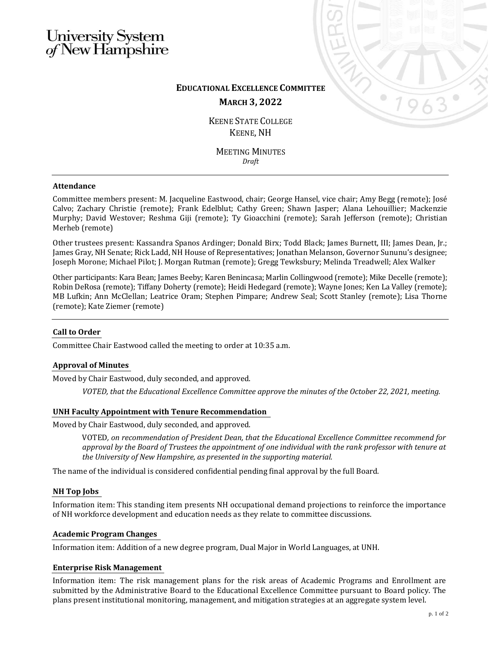# University System<br>of New Hampshire



# **EDUCATIONAL EXCELLENCE COMMITTEE MARCH 3, 2022**

KEENE STATE COLLEGE KEENE, NH

MEETING MINUTES *Draft*

# **Attendance**

Committee members present: M. Jacqueline Eastwood, chair; George Hansel, vice chair; Amy Begg (remote); José Calvo; Zachary Christie (remote); Frank Edelblut; Cathy Green; Shawn Jasper; Alana Lehouillier; Mackenzie Murphy; David Westover; Reshma Giji (remote); Ty Gioacchini (remote); Sarah Jefferson (remote); Christian Merheb (remote)

Other trustees present: Kassandra Spanos Ardinger; Donald Birx; Todd Black; James Burnett, III; James Dean, Jr.; James Gray, NH Senate; Rick Ladd, NH House of Representatives; Jonathan Melanson, Governor Sununu's designee; Joseph Morone; Michael Pilot; J. Morgan Rutman (remote); Gregg Tewksbury; Melinda Treadwell; Alex Walker

Other participants: Kara Bean; James Beeby; Karen Benincasa; Marlin Collingwood (remote); Mike Decelle (remote); Robin DeRosa (remote); Tiffany Doherty (remote); Heidi Hedegard (remote); Wayne Jones; Ken La Valley (remote); MB Lufkin; Ann McClellan; Leatrice Oram; Stephen Pimpare; Andrew Seal; Scott Stanley (remote); Lisa Thorne (remote); Kate Ziemer (remote)

# **Call to Order**

Committee Chair Eastwood called the meeting to order at 10:35 a.m.

# **Approval of Minutes**

Moved by Chair Eastwood, duly seconded, and approved.

*VOTED, that the Educational Excellence Committee approve the minutes of the October 22, 2021, meeting.*

# **UNH Faculty Appointment with Tenure Recommendation**

Moved by Chair Eastwood, duly seconded, and approved.

VOTED*, on recommendation of President Dean, that the Educational Excellence Committee recommend for approval by the Board of Trustees the appointment of one individual with the rank professor with tenure at the University of New Hampshire, as presented in the supporting material.*

The name of the individual is considered confidential pending final approval by the full Board.

# **NH Top Jobs**

Information item: This standing item presents NH occupational demand projections to reinforce the importance of NH workforce development and education needs as they relate to committee discussions.

#### **Academic Program Changes**

Information item: Addition of a new degree program, Dual Major in World Languages, at UNH.

# **Enterprise Risk Management**

Information item: The risk management plans for the risk areas of Academic Programs and Enrollment are submitted by the Administrative Board to the Educational Excellence Committee pursuant to Board policy. The plans present institutional monitoring, management, and mitigation strategies at an aggregate system level.